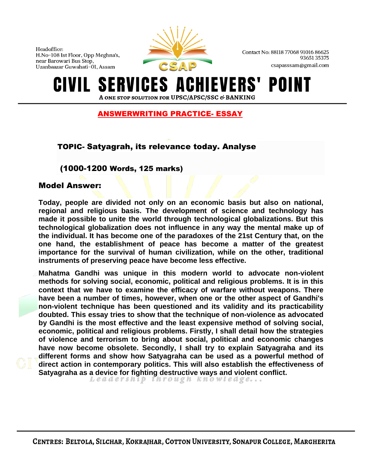

Contact No: 88118 77068 91016 86625 9365135375 csapasssam@gmail.com

#### **IEVERS'** ERVICES A POINT IVIL. A ONE STOP SOLUTION FOR UPSC/APSC/SSC & BANKING

## ANSWERWRITING PRACTICE- ESSAY

# TOPIC- Satyagrah, its relevance today. Analyse

### (1000-1200 Words, 125 marks)

#### Model Answer:

**Today, people are divided not only on an economic basis but also on national, regional and religious basis. The development of science and technology has made it possible to unite the world through technological globalizations. But this technological globalization does not influence in any way the mental make up of the individual. It has become one of the paradoxes of the 21st Century that, on the one hand, the establishment of peace has become a matter of the greatest importance for the survival of human civilization, while on the other, traditional instruments of preserving peace have become less effective.**

**Mahatma Gandhi was unique in this modern world to advocate non-violent methods for solving social, economic, political and religious problems. It is in this context that we have to examine the efficacy of warfare without weapons. There have been a number of times, however, when one or the other aspect of Gandhi's non-violent technique has been questioned and its validity and its practicability doubted. This essay tries to show that the technique of non-violence as advocated by Gandhi is the most effective and the least expensive method of solving social, economic, political and religious problems. Firstly, I shall detail how the strategies of violence and terrorism to bring about social, political and economic changes have now become obsolete. Secondly, I shall try to explain Satyagraha and its different forms and show how Satyagraha can be used as a powerful method of direct action in contemporary politics. This will also establish the effectiveness of Satyagraha as a device for fighting destructive ways and violent conflict.**<br>Leadership through knowledge...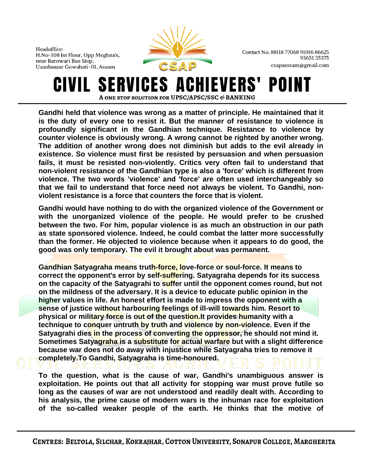

Contact No: 88118 77068 91016 86625 9365135375 csapasssam@gmail.com

#### **ERVICES A EVERS'** POII IVIL. A ONE STOP SOLUTION FOR UPSC/APSC/SSC & BANKING

**Gandhi held that violence was wrong as a matter of principle. He maintained that it is the duty of every one to resist it. But the manner of resistance to violence is profoundly significant in the Gandhian technique. Resistance to violence by counter violence is obviously wrong. A wrong cannot be righted by another wrong. The addition of another wrong does not diminish but adds to the evil already in existence. So violence must first be resisted by persuasion and when persuasion fails, it must be resisted non-violently. Critics very often fail to understand that non-violent resistance of the Gandhian type is also a 'force' which is different from violence. The two words 'violence' and 'force' are often used interchangeably so that we fail to understand that force need not always be violent. To Gandhi, nonviolent resistance is a force that counters the force that is violent.**

**Gandhi would have nothing to do with the organized violence of the Government or with the unorganized violence of the people. He would prefer to be crushed between the two. For him, popular violence is as much an obstruction in our path as state sponsored violence. Indeed, he could combat the latter more successfully than the former. He objected to violence because when it appears to do good, the good was only temporary. The evil it brought about was permanent.**

**Gandhian Satyagraha means truth-force, love-force or soul-force. It means to correct the opponent's error by self-suffering. Satyagraha depends for its success on the capacity of the Satyagrahi to suffer until the opponent comes round, but not on the mildness of the adversary. It is a device to educate public opinion in the higher values in life. An honest effort is made to impress the opponent with a sense of justice without harbouring feelings of ill-will towards him. Resort to physical or military force is out of the question.It provides humanity with a technique to conquer untruth by truth and violence by non-violence. Even if the Satyagrahi dies in the process of converting the oppressor, he should not mind it. Sometimes Satyagraha is a substitute for actual warfare but with a slight difference because war does not do away with injustice while Satyagraha tries to remove it completely.To Gandhi, Satyagraha is time-honoured.**

**To the question, what is the cause of war, Gandhi's unambiguous answer is exploitation. He points out that all activity for stopping war must prove futile so long as the causes of war are not understood and readily dealt with. According to his analysis, the prime cause of modern wars is the inhuman race for exploitation of the so-called weaker people of the earth. He thinks that the motive of**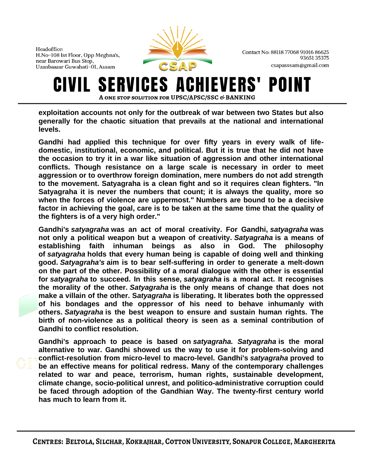

Contact No: 88118 77068 91016 86625 9365135375 csapasssam@gmail.com

#### ERVICES A **EVERS'** POII A ONE STOP SOLUTION FOR UPSC/APSC/SSC & BANKING

**exploitation accounts not only for the outbreak of war between two States but also generally for the chaotic situation that prevails at the national and international levels.**

**Gandhi had applied this technique for over fifty years in every walk of lifedomestic, institutional, economic, and political. But it is true that he did not have the occasion to try it in a war like situation of aggression and other international conflicts. Though resistance on a large scale is necessary in order to meet aggression or to overthrow foreign domination, mere numbers do not add strength to the movement. Satyagraha is a clean fight and so it requires clean fighters. "In Satyagraha it is never the numbers that count; it is always the quality, more so when the forces of violence are uppermost." Numbers are bound to be a decisive factor in achieving the goal, care is to be taken at the same time that the quality of the fighters is of a very high order."**

**Gandhi's** *satyagraha* **was an act of moral creativity. For Gandhi,** *satyagraha* **was not only a political weapon but a weapon of creativity.** *Satyagraha* **is a means of establishing faith inhuman beings as also in God. The philosophy of** *satyagraha* **holds that every human being is capable of doing well and thinking good.** *Satyagraha's* **aim is to bear self-suffering in order to generate a melt-down on the part of the other. Possibility of a moral dialogue with the other is essential for** *satyagraha* **to succeed. In this sense,** *satyagraha* **is a moral act. It recognises the morality of the other.** *Satyagraha* **is the only means of change that does not make a villain of the other. S***atyagraha* **is liberating. It liberates both the oppressed of his bondages and the oppressor of his need to behave inhumanly with others.** *Satyagraha* **is the best weapon to ensure and sustain human rights. The birth of non-violence as a political theory is seen as a seminal contribution of Gandhi to conflict resolution.**

**Gandhi's approach to peace is based on** *satyagraha. Satyagraha* **is the moral alternative to war. Gandhi showed us the way to use it for problem-solving and conflict-resolution from micro-level to macro-level. Gandhi's** *satyagraha* **proved to be an effective means for political redress. Many of the contemporary challenges related to war and peace, terrorism, human rights, sustainable development, climate change, socio-political unrest, and politico-administrative corruption could be faced through adoption of the Gandhian Way. The twenty-first century world has much to learn from it.**